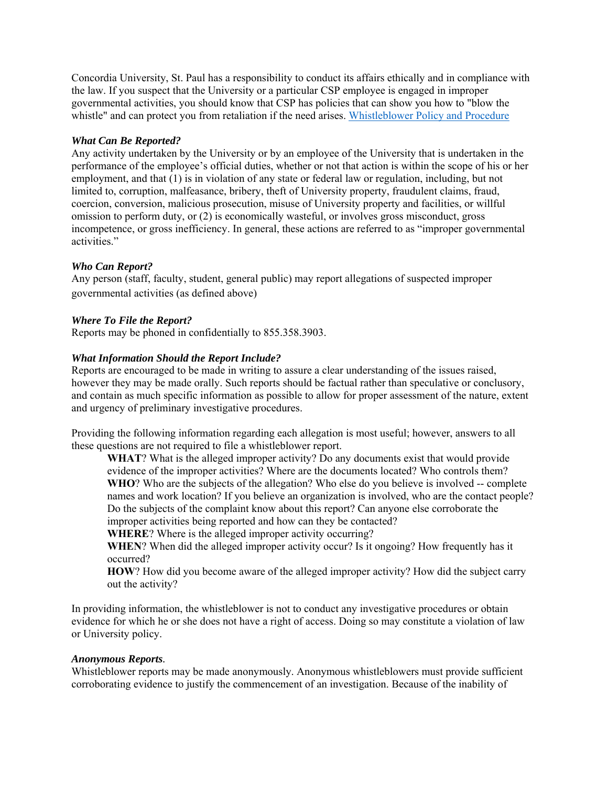Concordia University, St. Paul has a responsibility to conduct its affairs ethically and in compliance with the law. If you suspect that the University or a particular CSP employee is engaged in improper governmental activities, you should know that CSP has policies that can show you how to "blow the whistle" and can protect you from retaliation if the need arises. Whistleblower Policy and Procedure

## *What Can Be Reported?*

Any activity undertaken by the University or by an employee of the University that is undertaken in the performance of the employee's official duties, whether or not that action is within the scope of his or her employment, and that (1) is in violation of any state or federal law or regulation, including, but not limited to, corruption, malfeasance, bribery, theft of University property, fraudulent claims, fraud, coercion, conversion, malicious prosecution, misuse of University property and facilities, or willful omission to perform duty, or (2) is economically wasteful, or involves gross misconduct, gross incompetence, or gross inefficiency. In general, these actions are referred to as "improper governmental activities."

# *Who Can Report?*

Any person (staff, faculty, student, general public) may report allegations of suspected improper governmental activities (as defined above)

# *Where To File the Report?*

Reports may be phoned in confidentially to 855.358.3903.

# *What Information Should the Report Include?*

Reports are encouraged to be made in writing to assure a clear understanding of the issues raised, however they may be made orally. Such reports should be factual rather than speculative or conclusory, and contain as much specific information as possible to allow for proper assessment of the nature, extent and urgency of preliminary investigative procedures.

Providing the following information regarding each allegation is most useful; however, answers to all these questions are not required to file a whistleblower report.

**WHAT**? What is the alleged improper activity? Do any documents exist that would provide evidence of the improper activities? Where are the documents located? Who controls them? **WHO**? Who are the subjects of the allegation? Who else do you believe is involved -- complete names and work location? If you believe an organization is involved, who are the contact people? Do the subjects of the complaint know about this report? Can anyone else corroborate the improper activities being reported and how can they be contacted?

**WHERE**? Where is the alleged improper activity occurring?

**WHEN**? When did the alleged improper activity occur? Is it ongoing? How frequently has it occurred?

**HOW**? How did you become aware of the alleged improper activity? How did the subject carry out the activity?

In providing information, the whistleblower is not to conduct any investigative procedures or obtain evidence for which he or she does not have a right of access. Doing so may constitute a violation of law or University policy.

### *Anonymous Reports.*

Whistleblower reports may be made anonymously. Anonymous whistleblowers must provide sufficient corroborating evidence to justify the commencement of an investigation. Because of the inability of